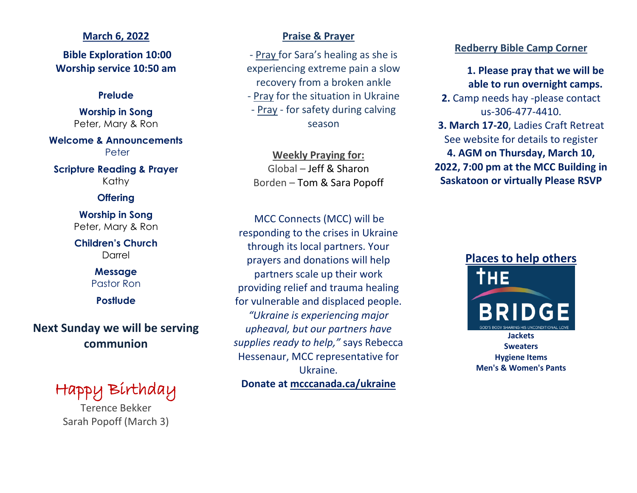#### **March 6, 2022**

**Bible Exploration 10:00 Worship service 10:50 am**

#### **Prelude**

**Worship in Song** Peter, Mary & Ron

**Welcome & Announcements** Peter

**Scripture Reading & Prayer** Kathy

### **Offering**

**Worship in Song** Peter, Mary & Ron

**Children's Church** Darrel

### **Message** Pastor Ron

**Postlude**

# **Next Sunday we will be serving communion**

# Happy Birthday

Terence Bekker Sarah Popoff (March 3)

### **Praise & Prayer**

- Pray for Sara's healing as she is experiencing extreme pain a slow recovery from a broken ankle

- Pray for the situation in Ukraine

- Pray - for safety during calving season

### **Weekly Praying for:** Global – Jeff & Sharon Borden – Tom & Sara Popoff

MCC Connects (MCC) will be responding to the crises in Ukraine through its local partners. Your prayers and donations will help partners scale up their work providing relief and trauma healing for vulnerable and displaced people. *"Ukraine is experiencing major upheaval, but our partners have supplies ready to help,"* says Rebecca Hessenaur, MCC representative for Ukraine. **Donate at mcccanada.ca/ukraine**

### **Redberry Bible Camp Corner**

### **1. Please pray that we will be able to run overnight camps.**

**2.** Camp needs hay -please contact us-306-477-4410.

- **3. March 17-20**, Ladies Craft Retreat See website for details to register **4. AGM on Thursday, March 10,**
- **2022, 7:00 pm at the MCC Building in Saskatoon or virtually Please RSVP**